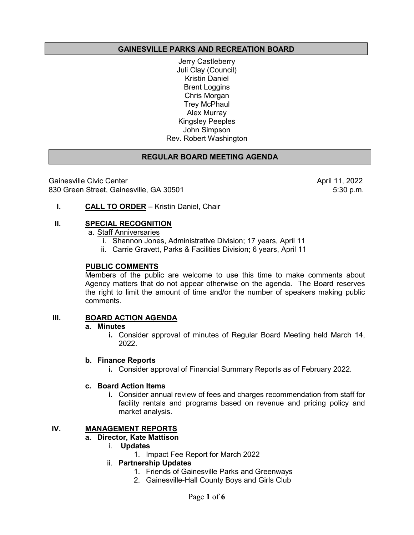## **GAINESVILLE PARKS AND RECREATION BOARD**

Jerry Castleberry Juli Clay (Council) Kristin Daniel Brent Loggins Chris Morgan Trey McPhaul Alex Murray Kingsley Peeples John Simpson Rev. Robert Washington

## **REGULAR BOARD MEETING AGENDA**

Gainesville Civic Center (11, 2022 April 11, 2022<br>B30 Green Street, Gainesville, GA 30501 830 Green Street, Gainesville, GA 30501

## **I. CALL TO ORDER** – Kristin Daniel, Chair

#### **II. SPECIAL RECOGNITION**

a. Staff Anniversaries

- i. Shannon Jones, Administrative Division; 17 years, April 11
- ii. Carrie Gravett, Parks & Facilities Division; 6 years, April 11

#### **PUBLIC COMMENTS**

Members of the public are welcome to use this time to make comments about Agency matters that do not appear otherwise on the agenda. The Board reserves the right to limit the amount of time and/or the number of speakers making public comments.

## **III. BOARD ACTION AGENDA**

#### **a. Minutes**

**i.** Consider approval of minutes of Regular Board Meeting held March 14, 2022.

#### **b. Finance Reports**

**i.** Consider approval of Financial Summary Reports as of February 2022.

#### **c. Board Action Items**

**i.** Consider annual review of fees and charges recommendation from staff for facility rentals and programs based on revenue and pricing policy and market analysis.

## **IV. MANAGEMENT REPORTS**

#### **a. Director, Kate Mattison**

- i. **Updates** 
	- 1. Impact Fee Report for March 2022

## ii. **Partnership Updates**

- 1. Friends of Gainesville Parks and Greenways
- 2. Gainesville-Hall County Boys and Girls Club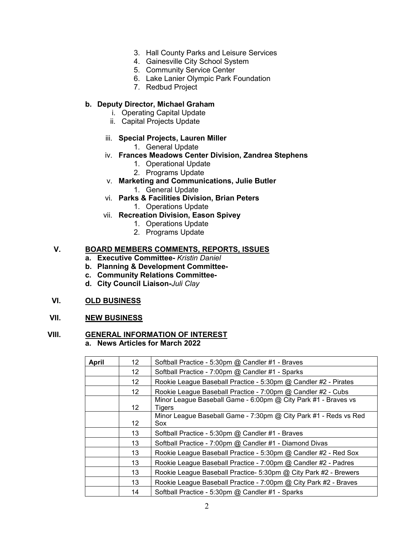- 3. Hall County Parks and Leisure Services
- 4. Gainesville City School System
- 5. Community Service Center
- 6. Lake Lanier Olympic Park Foundation
- 7. Redbud Project

## **b. Deputy Director, Michael Graham**

- i. Operating Capital Update
- ii. Capital Projects Update
- iii. **Special Projects, Lauren Miller**
	- 1. General Update
- iv. **Frances Meadows Center Division, Zandrea Stephens**
	- 1. Operational Update
	- 2. Programs Update
- v. **Marketing and Communications, Julie Butler**
	- 1. General Update
- vi. **Parks & Facilities Division, Brian Peters**
	- 1. Operations Update
- vii. **Recreation Division, Eason Spivey**
	- 1. Operations Update
	- 2. Programs Update

## **V. BOARD MEMBERS COMMENTS, REPORTS, ISSUES**

- **a. Executive Committee-** *Kristin Daniel*
- **b. Planning & Development Committee-**
- **c. Community Relations Committee-**
- **d. City Council Liaison-***Juli Clay*

#### **VI. OLD BUSINESS**

### **VII. NEW BUSINESS**

## **VIII. GENERAL INFORMATION OF INTEREST**

**a. News Articles for March 2022**

| <b>April</b> | 12 <sup>2</sup> | Softball Practice - 5:30pm @ Candler #1 - Braves                         |
|--------------|-----------------|--------------------------------------------------------------------------|
|              | 12 <sup>2</sup> | Softball Practice - 7:00pm @ Candler #1 - Sparks                         |
|              | 12              | Rookie League Baseball Practice - 5:30pm @ Candler #2 - Pirates          |
|              | 12              | Rookie League Baseball Practice - 7:00pm @ Candler #2 - Cubs             |
|              | 12 <sup>2</sup> | Minor League Baseball Game - 6:00pm @ City Park #1 - Braves vs<br>Tigers |
|              | 12              | Minor League Baseball Game - 7:30pm @ City Park #1 - Reds vs Red<br>Sox  |
|              | 13              | Softball Practice - 5:30pm @ Candler #1 - Braves                         |
|              | 13              | Softball Practice - 7:00pm @ Candler #1 - Diamond Divas                  |
|              | 13              | Rookie League Baseball Practice - 5:30pm @ Candler #2 - Red Sox          |
|              | 13              | Rookie League Baseball Practice - 7:00pm @ Candler #2 - Padres           |
|              | 13              | Rookie League Baseball Practice- 5:30pm @ City Park #2 - Brewers         |
|              | 13              | Rookie League Baseball Practice - 7:00pm @ City Park #2 - Braves         |
|              | 14              | Softball Practice - 5:30pm @ Candler #1 - Sparks                         |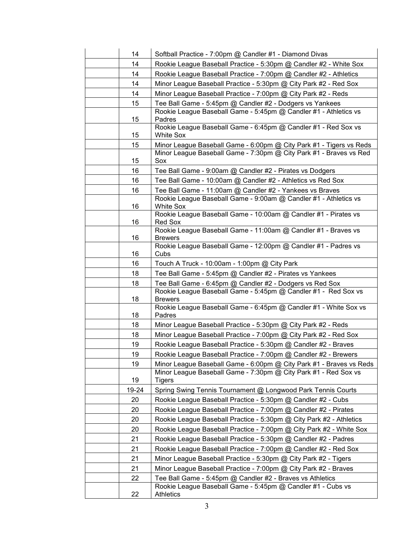| 14    | Softball Practice - 7:00pm @ Candler #1 - Diamond Divas                              |
|-------|--------------------------------------------------------------------------------------|
| 14    | Rookie League Baseball Practice - 5:30pm @ Candler #2 - White Sox                    |
| 14    | Rookie League Baseball Practice - 7:00pm @ Candler #2 - Athletics                    |
| 14    | Minor League Baseball Practice - 5:30pm @ City Park #2 - Red Sox                     |
| 14    | Minor League Baseball Practice - 7:00pm @ City Park #2 - Reds                        |
| 15    | Tee Ball Game - 5:45pm @ Candler #2 - Dodgers vs Yankees                             |
| 15    | Rookie League Baseball Game - 5:45pm @ Candler #1 - Athletics vs<br>Padres           |
| 15    | Rookie League Baseball Game - 6:45pm @ Candler #1 - Red Sox vs<br><b>White Sox</b>   |
| 15    | Minor League Baseball Game - 6:00pm @ City Park #1 - Tigers vs Reds                  |
| 15    | Minor League Baseball Game - 7:30pm @ City Park #1 - Braves vs Red<br>Sox            |
| 16    | Tee Ball Game - 9:00am @ Candler #2 - Pirates vs Dodgers                             |
| 16    | Tee Ball Game - 10:00am @ Candler #2 - Athletics vs Red Sox                          |
| 16    | Tee Ball Game - 11:00am @ Candler #2 - Yankees vs Braves                             |
| 16    | Rookie League Baseball Game - 9:00am @ Candler #1 - Athletics vs<br><b>White Sox</b> |
| 16    | Rookie League Baseball Game - 10:00am @ Candler #1 - Pirates vs<br>Red Sox           |
| 16    | Rookie League Baseball Game - 11:00am @ Candler #1 - Braves vs<br><b>Brewers</b>     |
| 16    | Rookie League Baseball Game - 12:00pm @ Candler #1 - Padres vs<br>Cubs               |
| 16    | Touch A Truck - 10:00am - 1:00pm @ City Park                                         |
| 18    | Tee Ball Game - 5:45pm @ Candler #2 - Pirates vs Yankees                             |
| 18    | Tee Ball Game - 6:45pm @ Candler #2 - Dodgers vs Red Sox                             |
| 18    | Rookie League Baseball Game - 5:45pm @ Candler #1 - Red Sox vs<br><b>Brewers</b>     |
| 18    | Rookie League Baseball Game - 6:45pm @ Candler #1 - White Sox vs<br>Padres           |
| 18    | Minor League Baseball Practice - 5:30pm @ City Park #2 - Reds                        |
| 18    | Minor League Baseball Practice - 7:00pm @ City Park #2 - Red Sox                     |
| 19    | Rookie League Baseball Practice - 5:30pm @ Candler #2 - Braves                       |
| 19    | Rookie League Baseball Practice - 7:00pm @ Candler #2 - Brewers                      |
| 19    | Minor League Baseball Game - 6:00pm @ City Park #1 - Braves vs Reds                  |
| 19    | Minor League Baseball Game - 7:30pm @ City Park #1 - Red Sox vs<br><b>Tigers</b>     |
| 19-24 | Spring Swing Tennis Tournament @ Longwood Park Tennis Courts                         |
| 20    | Rookie League Baseball Practice - 5:30pm @ Candler #2 - Cubs                         |
| 20    | Rookie League Baseball Practice - 7:00pm @ Candler #2 - Pirates                      |
| 20    | Rookie League Baseball Practice - 5:30pm @ City Park #2 - Athletics                  |
| 20    | Rookie League Baseball Practice - 7:00pm @ City Park #2 - White Sox                  |
| 21    | Rookie League Baseball Practice - 5:30pm @ Candler #2 - Padres                       |
| 21    | Rookie League Baseball Practice - 7:00pm @ Candler #2 - Red Sox                      |
| 21    | Minor League Baseball Practice - 5:30pm @ City Park #2 - Tigers                      |
| 21    | Minor League Baseball Practice - 7:00pm @ City Park #2 - Braves                      |
| 22    | Tee Ball Game - 5:45pm @ Candler #2 - Braves vs Athletics                            |
| 22    | Rookie League Baseball Game - 5:45pm @ Candler #1 - Cubs vs<br><b>Athletics</b>      |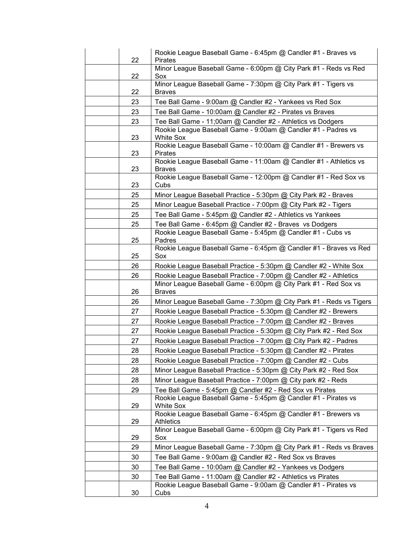| 22 | Rookie League Baseball Game - 6:45pm @ Candler #1 - Braves vs<br><b>Pirates</b>    |
|----|------------------------------------------------------------------------------------|
| 22 | Minor League Baseball Game - 6:00pm @ City Park #1 - Reds vs Red<br>Sox            |
| 22 | Minor League Baseball Game - 7:30pm @ City Park #1 - Tigers vs<br><b>Braves</b>    |
| 23 | Tee Ball Game - 9:00am @ Candler #2 - Yankees vs Red Sox                           |
| 23 | Tee Ball Game - 10:00am @ Candler #2 - Pirates vs Braves                           |
| 23 | Tee Ball Game - 11;00am @ Candler #2 - Athletics vs Dodgers                        |
| 23 | Rookie League Baseball Game - 9:00am @ Candler #1 - Padres vs<br><b>White Sox</b>  |
| 23 | Rookie League Baseball Game - 10:00am @ Candler #1 - Brewers vs<br>Pirates         |
| 23 | Rookie League Baseball Game - 11:00am @ Candler #1 - Athletics vs<br><b>Braves</b> |
| 23 | Rookie League Baseball Game - 12:00pm @ Candler #1 - Red Sox vs<br>Cubs            |
| 25 | Minor League Baseball Practice - 5:30pm @ City Park #2 - Braves                    |
| 25 | Minor League Baseball Practice - 7:00pm @ City Park #2 - Tigers                    |
| 25 | Tee Ball Game - 5:45pm @ Candler #2 - Athletics vs Yankees                         |
| 25 | Tee Ball Game - 6:45pm @ Candler #2 - Braves vs Dodgers                            |
|    | Rookie League Baseball Game - 5:45pm @ Candler #1 - Cubs vs                        |
| 25 | Padres<br>Rookie League Baseball Game - 6:45pm @ Candler #1 - Braves vs Red        |
| 25 | Sox                                                                                |
| 26 | Rookie League Baseball Practice - 5:30pm @ Candler #2 - White Sox                  |
| 26 | Rookie League Baseball Practice - 7:00pm @ Candler #2 - Athletics                  |
| 26 | Minor League Baseball Game - 6:00pm @ City Park #1 - Red Sox vs<br><b>Braves</b>   |
| 26 | Minor League Baseball Game - 7:30pm @ City Park #1 - Reds vs Tigers                |
| 27 | Rookie League Baseball Practice - 5:30pm @ Candler #2 - Brewers                    |
| 27 | Rookie League Baseball Practice - 7:00pm @ Candler #2 - Braves                     |
| 27 | Rookie League Baseball Practice - 5:30pm @ City Park #2 - Red Sox                  |
| 27 | Rookie League Baseball Practice - 7:00pm @ City Park #2 - Padres                   |
| 28 | Rookie League Baseball Practice - 5:30pm @ Candler #2 - Pirates                    |
| 28 | Rookie League Baseball Practice - 7:00pm @ Candler #2 - Cubs                       |
| 28 | Minor League Baseball Practice - 5:30pm @ City Park #2 - Red Sox                   |
| 28 | Minor League Baseball Practice - 7:00pm @ City park #2 - Reds                      |
| 29 | Tee Ball Game - 5:45pm @ Candler #2 - Red Sox vs Pirates                           |
| 29 | Rookie League Baseball Game - 5:45pm @ Candler #1 - Pirates vs<br><b>White Sox</b> |
| 29 | Rookie League Baseball Game - 6:45pm @ Candler #1 - Brewers vs<br><b>Athletics</b> |
| 29 | Minor League Baseball Game - 6:00pm @ City Park #1 - Tigers vs Red<br>Sox          |
| 29 | Minor League Baseball Game - 7:30pm @ City Park #1 - Reds vs Braves                |
| 30 | Tee Ball Game - 9:00am @ Candler #2 - Red Sox vs Braves                            |
| 30 | Tee Ball Game - 10:00am @ Candler #2 - Yankees vs Dodgers                          |
| 30 | Tee Ball Game - 11:00am @ Candler #2 - Athletics vs Pirates                        |
| 30 | Rookie League Baseball Game - 9:00am @ Candler #1 - Pirates vs<br>Cubs             |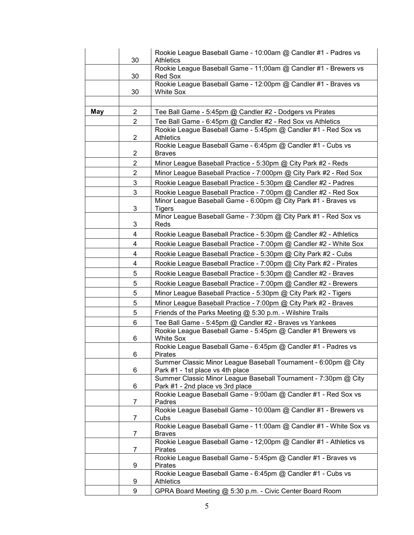|     | 30             | Rookie League Baseball Game - 10:00am @ Candler #1 - Padres vs<br><b>Athletics</b>                  |
|-----|----------------|-----------------------------------------------------------------------------------------------------|
|     | 30             | Rookie League Baseball Game - 11;00am @ Candler #1 - Brewers vs<br>Red Sox                          |
|     | 30             | Rookie League Baseball Game - 12:00pm @ Candler #1 - Braves vs<br><b>White Sox</b>                  |
|     |                |                                                                                                     |
| May | $\overline{2}$ | Tee Ball Game - 5:45pm @ Candler #2 - Dodgers vs Pirates                                            |
|     | $\mathbf{2}$   | Tee Ball Game - 6:45pm @ Candler #2 - Red Sox vs Athletics                                          |
|     | 2              | Rookie League Baseball Game - 5:45pm @ Candler #1 - Red Sox vs<br>Athletics                         |
|     | 2              | Rookie League Baseball Game - 6:45pm @ Candler #1 - Cubs vs<br><b>Braves</b>                        |
|     | $\overline{2}$ | Minor League Baseball Practice - 5:30pm @ City Park #2 - Reds                                       |
|     | $\overline{2}$ | Minor League Baseball Practice - 7:000pm @ City Park #2 - Red Sox                                   |
|     | 3              | Rookie League Baseball Practice - 5:30pm @ Candler #2 - Padres                                      |
|     | 3              | Rookie League Baseball Practice - 7:00pm @ Candler #2 - Red Sox                                     |
|     | 3              | Minor League Baseball Game - 6:00pm @ City Park #1 - Braves vs<br><b>Tigers</b>                     |
|     | 3              | Minor League Baseball Game - 7:30pm @ City Park #1 - Red Sox vs<br>Reds                             |
|     | 4              | Rookie League Baseball Practice - 5:30pm @ Candler #2 - Athletics                                   |
|     | 4              | Rookie League Baseball Practice - 7:00pm @ Candler #2 - White Sox                                   |
|     | 4              | Rookie League Baseball Practice - 5:30pm @ City Park #2 - Cubs                                      |
|     | 4              | Rookie League Baseball Practice - 7:00pm @ City Park #2 - Pirates                                   |
|     | 5              | Rookie League Baseball Practice - 5:30pm @ Candler #2 - Braves                                      |
|     | 5              | Rookie League Baseball Practice - 7:00pm @ Candler #2 - Brewers                                     |
|     | 5              | Minor League Baseball Practice - 5:30pm @ City Park #2 - Tigers                                     |
|     | 5              | Minor League Baseball Practice - 7:00pm @ City Park #2 - Braves                                     |
|     | 5              | Friends of the Parks Meeting @ 5:30 p.m. - Wilshire Trails                                          |
|     | 6              | Tee Ball Game - 5:45pm @ Candler #2 - Braves vs Yankees                                             |
|     | 6              | Rookie League Baseball Game - 5:45pm @ Candler #1 Brewers vs<br><b>White Sox</b>                    |
|     | 6              | Rookie League Baseball Game - 6:45pm @ Candler #1 - Padres vs<br>Pirates                            |
|     | 6              | Summer Classic Minor League Baseball Tournament - 6:00pm @ City<br>Park #1 - 1st place vs 4th place |
|     | 6              | Summer Classic Minor League Baseball Tournament - 7:30pm @ City<br>Park #1 - 2nd place vs 3rd place |
|     | 7              | Rookie League Baseball Game - 9:00am @ Candler #1 - Red Sox vs<br>Padres                            |
|     | 7              | Rookie League Baseball Game - 10:00am @ Candler #1 - Brewers vs<br>Cubs                             |
|     | 7              | Rookie League Baseball Game - 11:00am @ Candler #1 - White Sox vs<br><b>Braves</b>                  |
|     | 7              | Rookie League Baseball Game - 12;00pm @ Candler #1 - Athletics vs<br><b>Pirates</b>                 |
|     | 9              | Rookie League Baseball Game - 5:45pm @ Candler #1 - Braves vs<br><b>Pirates</b>                     |
|     | 9              | Rookie League Baseball Game - 6:45pm @ Candler #1 - Cubs vs<br><b>Athletics</b>                     |
|     | 9              | GPRA Board Meeting @ 5:30 p.m. - Civic Center Board Room                                            |